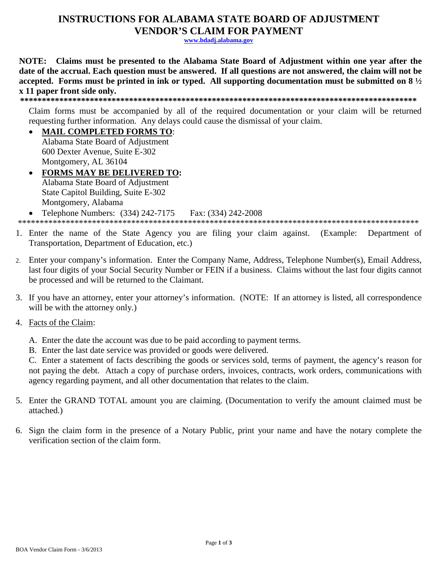# **INSTRUCTIONS FOR ALABAMA STATE BOARD OF ADJUSTMENT VENDOR'S CLAIM FOR PAYMENT**

www.bdadj.alabama.gov

NOTE: Claims must be presented to the Alabama State Board of Adjustment within one year after the date of the accrual. Each question must be answered. If all questions are not answered, the claim will not be accepted. Forms must be printed in ink or typed. All supporting documentation must be submitted on  $8\frac{1}{2}$ x 11 paper front side only.

Claim forms must be accompanied by all of the required documentation or your claim will be returned requesting further information. Any delays could cause the dismissal of your claim.

- **MAIL COMPLETED FORMS TO:** Alabama State Board of Adjustment 600 Dexter Avenue, Suite E-302 Montgomery, AL 36104 • FORMS MAY BE DELIVERED TO:
- Alabama State Board of Adjustment State Capitol Building, Suite E-302 Montgomery, Alabama

Telephone Numbers: (334) 242-7175 Fax: (334) 242-2008

- 
- 1. Enter the name of the State Agency you are filing your claim against. (Example: Department of Transportation, Department of Education, etc.)
- 2. Enter your company's information. Enter the Company Name, Address, Telephone Number(s), Email Address, last four digits of your Social Security Number or FEIN if a business. Claims without the last four digits cannot be processed and will be returned to the Claimant.
- 3. If you have an attorney, enter your attorney's information. (NOTE: If an attorney is listed, all correspondence will be with the attorney only.)
- 4. Facts of the Claim:
	- A. Enter the date the account was due to be paid according to payment terms.
	- B. Enter the last date service was provided or goods were delivered.

C. Enter a statement of facts describing the goods or services sold, terms of payment, the agency's reason for not paying the debt. Attach a copy of purchase orders, invoices, contracts, work orders, communications with agency regarding payment, and all other documentation that relates to the claim.

- 5. Enter the GRAND TOTAL amount you are claiming. (Documentation to verify the amount claimed must be attached.)
- 6. Sign the claim form in the presence of a Notary Public, print your name and have the notary complete the verification section of the claim form.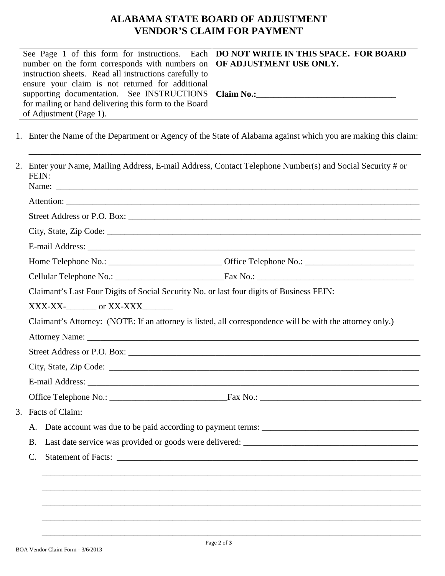## **ALABAMA STATE BOARD OF ADJUSTMENT VENDOR'S CLAIM FOR PAYMENT**

|                                                                                    | See Page 1 of this form for instructions. Each   DO NOT WRITE IN THIS SPACE. FOR BOARD |  |
|------------------------------------------------------------------------------------|----------------------------------------------------------------------------------------|--|
| number on the form corresponds with numbers on $\overline{OFADJUSTMENTUSE ONLY}$ . |                                                                                        |  |
| instruction sheets. Read all instructions carefully to                             |                                                                                        |  |
| ensure your claim is not returned for additional                                   |                                                                                        |  |
| supporting documentation. See INSTRUCTIONS   Claim No.:                            |                                                                                        |  |
| for mailing or hand delivering this form to the Board                              |                                                                                        |  |
| of Adjustment (Page 1).                                                            |                                                                                        |  |

1. Enter the Name of the Department or Agency of the State of Alabama against which you are making this claim:

\_\_\_\_\_\_\_\_\_\_\_\_\_\_\_\_\_\_\_\_\_\_\_\_\_\_\_\_\_\_\_\_\_\_\_\_\_\_\_\_\_\_\_\_\_\_\_\_\_\_\_\_\_\_\_\_\_\_\_\_\_\_\_\_\_\_\_\_\_\_\_\_\_\_\_\_\_\_\_\_\_\_\_\_\_\_\_\_\_\_

|                | 2. Enter your Name, Mailing Address, E-mail Address, Contact Telephone Number(s) and Social Security # or<br>FEIN:                                                                                                                 |  |  |  |
|----------------|------------------------------------------------------------------------------------------------------------------------------------------------------------------------------------------------------------------------------------|--|--|--|
|                |                                                                                                                                                                                                                                    |  |  |  |
|                |                                                                                                                                                                                                                                    |  |  |  |
|                |                                                                                                                                                                                                                                    |  |  |  |
|                | E-mail Address: <u>Communications</u> Communications and Communications Communications and Communications Communications and Communications Communications and Communications and Communications Communications Communications and |  |  |  |
|                |                                                                                                                                                                                                                                    |  |  |  |
|                |                                                                                                                                                                                                                                    |  |  |  |
|                | Claimant's Last Four Digits of Social Security No. or last four digits of Business FEIN:                                                                                                                                           |  |  |  |
|                |                                                                                                                                                                                                                                    |  |  |  |
|                | Claimant's Attorney: (NOTE: If an attorney is listed, all correspondence will be with the attorney only.)                                                                                                                          |  |  |  |
|                |                                                                                                                                                                                                                                    |  |  |  |
|                |                                                                                                                                                                                                                                    |  |  |  |
|                |                                                                                                                                                                                                                                    |  |  |  |
|                | E-mail Address: No. 1996. The Commission of the Commission of the Commission of the Commission of the Commission of the Commission of the Commission of the Commission of the Commission of the Commission of the Commission o     |  |  |  |
|                |                                                                                                                                                                                                                                    |  |  |  |
|                | 3. Facts of Claim:                                                                                                                                                                                                                 |  |  |  |
| A.             |                                                                                                                                                                                                                                    |  |  |  |
| <b>B.</b>      |                                                                                                                                                                                                                                    |  |  |  |
| $\mathbf{C}$ . |                                                                                                                                                                                                                                    |  |  |  |
|                |                                                                                                                                                                                                                                    |  |  |  |
|                |                                                                                                                                                                                                                                    |  |  |  |
|                |                                                                                                                                                                                                                                    |  |  |  |
|                |                                                                                                                                                                                                                                    |  |  |  |
|                |                                                                                                                                                                                                                                    |  |  |  |